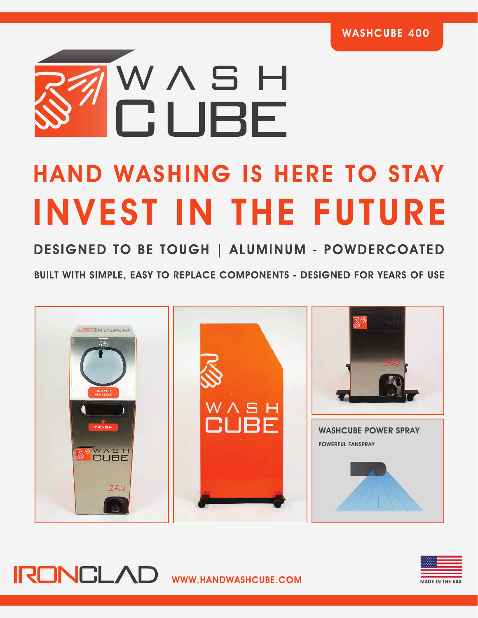

# **HAND WASHING IS HERE TO STAY INVEST IN THE FUTURE**

DESIGNED TO BE TOUGH | ALUMINUM - POWDERCOATED

BUILT WITH SIMPLE, EASY TO REPLACE COMPONENTS - DESIGNED FOR YEARS OF USE





**IRONCLAD** WWW.HANDWASHCUBE.COM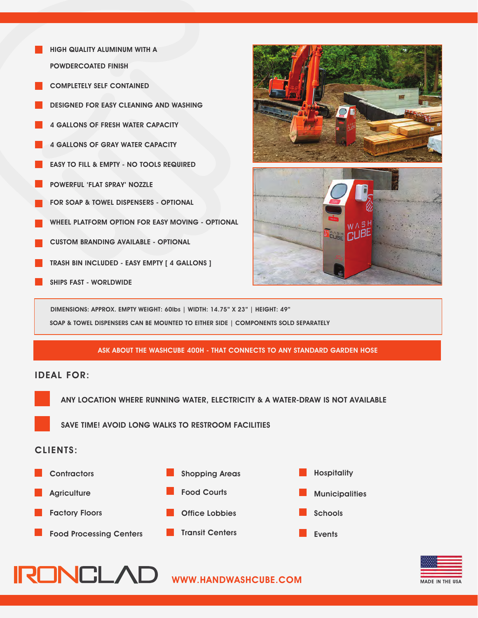- HIGH QUALITY ALUMINUM WITH A POWDERCOATED FINISH
- **COMPLETELY SELF CONTAINED**
- DESIGNED FOR EASY CLEANING AND WASHING
- 4 GALLONS OF FRESH WATER CAPACITY
- 4 GALLONS OF GRAY WATER CAPACITY
- EASY TO FILL & EMPTY NO TOOLS REQUIRED
- POWERFUL 'FLAT SPRAY' NOZZLE
- FOR SOAP & TOWEL DISPENSERS OPTIONAL
- WHEEL PLATFORM OPTION FOR EASY MOVING OPTIONAL
- CUSTOM BRANDING AVAILABLE OPTIONAL
- TRASH BIN INCLUDED EASY EMPTY [ 4 GALLONS ]
- SHIPS FAST WORLDWIDE



DIMENSIONS: APPROX. EMPTY WEIGHT: 60lbs | WIDTH: 14.75" X 23" | HEIGHT: 49" SOAP & TOWEL DISPENSERS CAN BE MOUNTED TO EITHER SIDE | COMPONENTS SOLD SEPARATELY

#### ASK ABOUT THE WASHCUBE 400H - THAT CONNECTS TO ANY STANDARD GARDEN HOSE

### IDEAL FOR:

ANY LOCATION WHERE RUNNING WATER, ELECTRICITY & A WATER-DRAW IS NOT AVAILABLE

SAVE TIME! AVOID LONG WALKS TO RESTROOM FACILITIES

#### CLIENTS:





**IRONCLAD** WWW.HANDWASHCUBE.COM